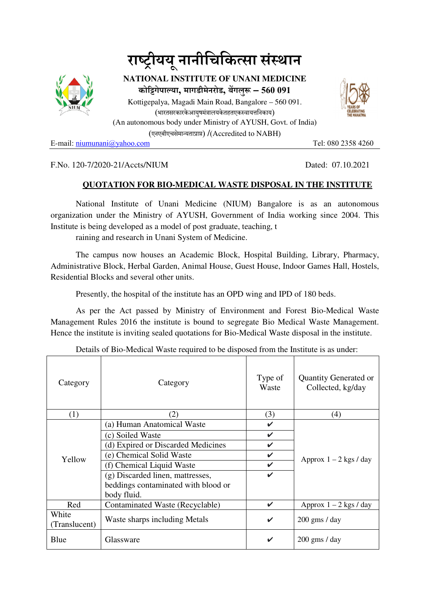



**NATIONAL INSTITUTE OF UNANI MEDICINE कोगेपाया, मागडीमेनरोड, बगलु – 560 091** Kottigepalya, Magadi Main Road, Bangalore – 560 091. (भारतसरकारकेआयषमंत्रालयकेतहतएकस्वायत्तनिकाय) (An autonomous body under Ministry of AYUSH, Govt. of India) (एनएबीएचसेमायताा) /(Accredited to NABH)

E-mail: nominani@yahoo.com Tel: 080 2358 4260

## F.No. 120-7/2020-21/Accts/NIUM Dated: 07.10.2021

## **QUOTATION FOR BIO-MEDICAL WASTE DISPOSAL IN THE INSTITUTE**

National Institute of Unani Medicine (NIUM) Bangalore is as an autonomous organization under the Ministry of AYUSH, Government of India working since 2004. This Institute is being developed as a model of post graduate, teaching, t

raining and research in Unani System of Medicine.

The campus now houses an Academic Block, Hospital Building, Library, Pharmacy, Administrative Block, Herbal Garden, Animal House, Guest House, Indoor Games Hall, Hostels, Residential Blocks and several other units.

Presently, the hospital of the institute has an OPD wing and IPD of 180 beds.

As per the Act passed by Ministry of Environment and Forest Bio-Medical Waste Management Rules 2016 the institute is bound to segregate Bio Medical Waste Management. Hence the institute is inviting sealed quotations for Bio-Medical Waste disposal in the institute.

| Category      | Category                            | Type of<br>Waste | <b>Quantity Generated or</b><br>Collected, kg/day |
|---------------|-------------------------------------|------------------|---------------------------------------------------|
| (1)           | (2)                                 | (3)              | (4)                                               |
| Yellow        | (a) Human Anatomical Waste          | V                | Approx $1 - 2$ kgs / day                          |
|               | (c) Soiled Waste                    | $\checkmark$     |                                                   |
|               | (d) Expired or Discarded Medicines  | V                |                                                   |
|               | (e) Chemical Solid Waste            | V                |                                                   |
|               | (f) Chemical Liquid Waste           | V                |                                                   |
|               | (g) Discarded linen, mattresses,    | $\checkmark$     |                                                   |
|               | beddings contaminated with blood or |                  |                                                   |
|               | body fluid.                         |                  |                                                   |
| Red           | Contaminated Waste (Recyclable)     | V                | Approx $1 - 2$ kgs / day                          |
| White         | Waste sharps including Metals       | V                | $200$ gms / day                                   |
| (Translucent) |                                     |                  |                                                   |
| Blue          | Glassware                           | ✓                | $200$ gms / day                                   |

Details of Bio-Medical Waste required to be disposed from the Institute is as under: